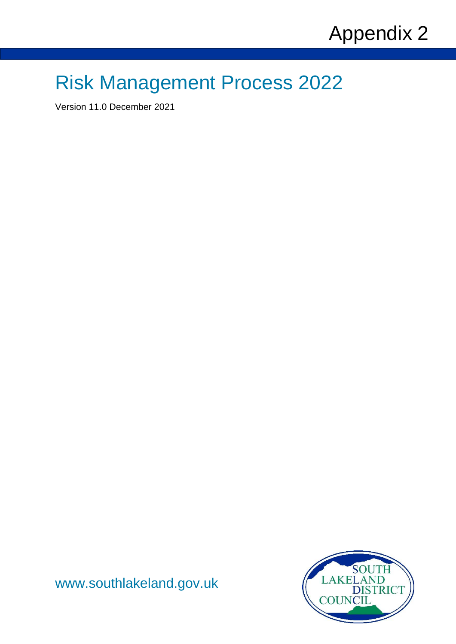# Risk Management Process 2022

Version 11.0 December 2021



[www.southlakeland.gov.uk](http://www.southlakeland.gov.uk/)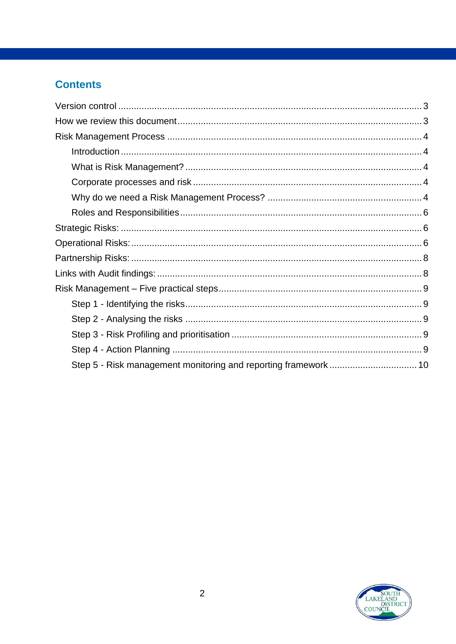#### **Contents**

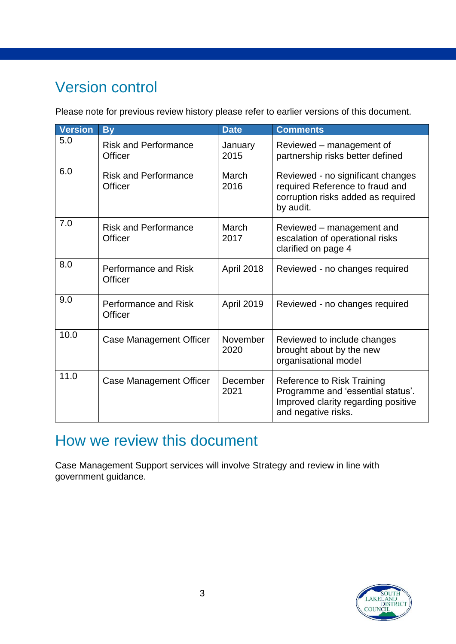## <span id="page-2-0"></span>Version control

Please note for previous review history please refer to earlier versions of this document.

| <b>Version</b> | <b>By</b>                                     | <b>Date</b>       | <b>Comments</b>                                                                                                               |
|----------------|-----------------------------------------------|-------------------|-------------------------------------------------------------------------------------------------------------------------------|
| 5.0            | <b>Risk and Performance</b><br>Officer        | January<br>2015   | Reviewed – management of<br>partnership risks better defined                                                                  |
| 6.0            | <b>Risk and Performance</b><br><b>Officer</b> | March<br>2016     | Reviewed - no significant changes<br>required Reference to fraud and<br>corruption risks added as required<br>by audit.       |
| 7.0            | <b>Risk and Performance</b><br>Officer        | March<br>2017     | Reviewed – management and<br>escalation of operational risks<br>clarified on page 4                                           |
| 8.0            | Performance and Risk<br>Officer               | April 2018        | Reviewed - no changes required                                                                                                |
| 9.0            | Performance and Risk<br>Officer               | <b>April 2019</b> | Reviewed - no changes required                                                                                                |
| 10.0           | Case Management Officer                       | November<br>2020  | Reviewed to include changes<br>brought about by the new<br>organisational model                                               |
| 11.0           | Case Management Officer                       | December<br>2021  | Reference to Risk Training<br>Programme and 'essential status'.<br>Improved clarity regarding positive<br>and negative risks. |

## <span id="page-2-1"></span>How we review this document

<span id="page-2-2"></span>Case Management Support services will involve Strategy and review in line with government guidance.

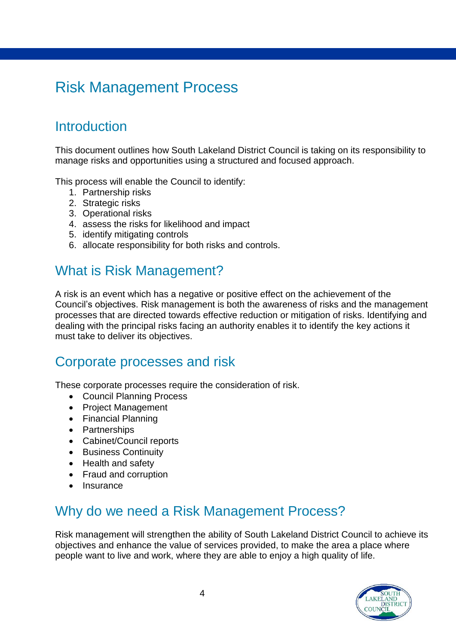## Risk Management Process

#### <span id="page-3-0"></span>**Introduction**

This document outlines how South Lakeland District Council is taking on its responsibility to manage risks and opportunities using a structured and focused approach.

This process will enable the Council to identify:

- 1. Partnership risks
- 2. Strategic risks
- 3. Operational risks
- 4. assess the risks for likelihood and impact
- 5. identify mitigating controls
- 6. allocate responsibility for both risks and controls.

#### <span id="page-3-1"></span>What is Risk Management?

A risk is an event which has a negative or positive effect on the achievement of the Council's objectives. Risk management is both the awareness of risks and the management processes that are directed towards effective reduction or mitigation of risks. Identifying and dealing with the principal risks facing an authority enables it to identify the key actions it must take to deliver its objectives.

#### <span id="page-3-2"></span>Corporate processes and risk

These corporate processes require the consideration of risk.

- Council Planning Process
- Project Management
- Financial Planning
- Partnerships
- Cabinet/Council reports
- **•** Business Continuity
- Health and safety
- Fraud and corruption
- Insurance

#### <span id="page-3-3"></span>Why do we need a Risk Management Process?

Risk management will strengthen the ability of South Lakeland District Council to achieve its objectives and enhance the value of services provided, to make the area a place where people want to live and work, where they are able to enjoy a high quality of life.

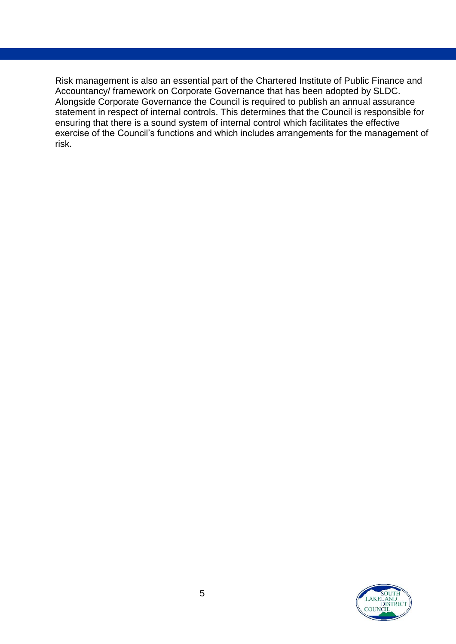Risk management is also an essential part of the Chartered Institute of Public Finance and Accountancy/ framework on Corporate Governance that has been adopted by SLDC. Alongside Corporate Governance the Council is required to publish an annual assurance statement in respect of internal controls. This determines that the Council is responsible for ensuring that there is a sound system of internal control which facilitates the effective exercise of the Council's functions and which includes arrangements for the management of risk.

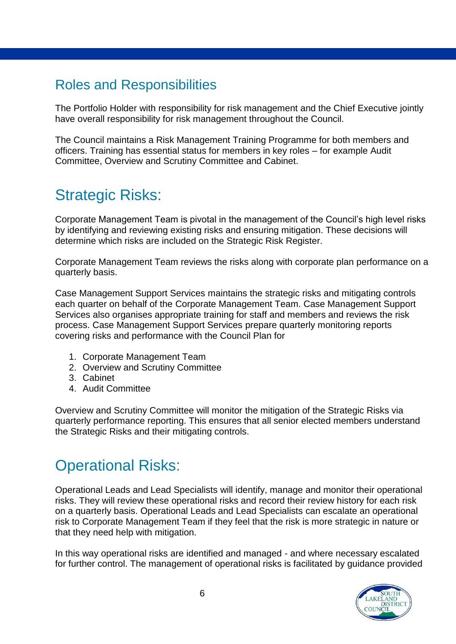### <span id="page-5-0"></span>Roles and Responsibilities

The Portfolio Holder with responsibility for risk management and the Chief Executive jointly have overall responsibility for risk management throughout the Council.

The Council maintains a Risk Management Training Programme for both members and officers. Training has essential status for members in key roles – for example Audit Committee, Overview and Scrutiny Committee and Cabinet.

## <span id="page-5-1"></span>Strategic Risks:

Corporate Management Team is pivotal in the management of the Council's high level risks by identifying and reviewing existing risks and ensuring mitigation. These decisions will determine which risks are included on the Strategic Risk Register.

Corporate Management Team reviews the risks along with corporate plan performance on a quarterly basis.

Case Management Support Services maintains the strategic risks and mitigating controls each quarter on behalf of the Corporate Management Team. Case Management Support Services also organises appropriate training for staff and members and reviews the risk process. Case Management Support Services prepare quarterly monitoring reports covering risks and performance with the Council Plan for

- 1. Corporate Management Team
- 2. Overview and Scrutiny Committee
- 3. Cabinet
- 4. Audit Committee

Overview and Scrutiny Committee will monitor the mitigation of the Strategic Risks via quarterly performance reporting. This ensures that all senior elected members understand the Strategic Risks and their mitigating controls.

### <span id="page-5-2"></span>Operational Risks:

Operational Leads and Lead Specialists will identify, manage and monitor their operational risks. They will review these operational risks and record their review history for each risk on a quarterly basis. Operational Leads and Lead Specialists can escalate an operational risk to Corporate Management Team if they feel that the risk is more strategic in nature or that they need help with mitigation.

In this way operational risks are identified and managed - and where necessary escalated for further control. The management of operational risks is facilitated by guidance provided

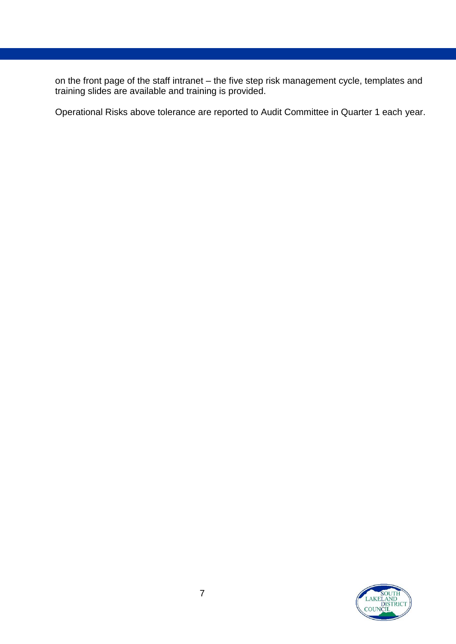on the front page of the staff intranet – the five step risk management cycle, templates and training slides are available and training is provided.

Operational Risks above tolerance are reported to Audit Committee in Quarter 1 each year.

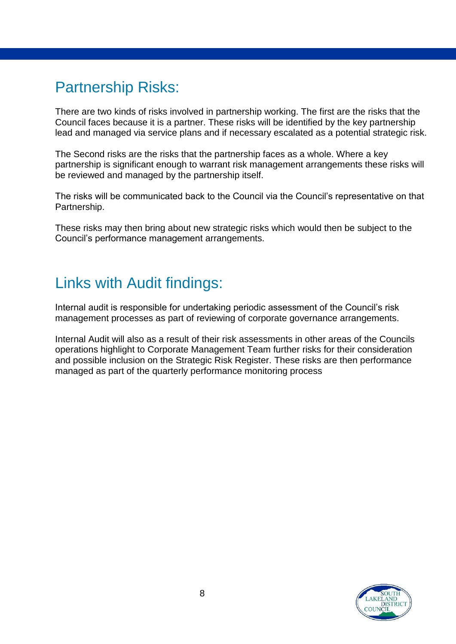## <span id="page-7-0"></span>Partnership Risks:

There are two kinds of risks involved in partnership working. The first are the risks that the Council faces because it is a partner. These risks will be identified by the key partnership lead and managed via service plans and if necessary escalated as a potential strategic risk.

The Second risks are the risks that the partnership faces as a whole. Where a key partnership is significant enough to warrant risk management arrangements these risks will be reviewed and managed by the partnership itself.

The risks will be communicated back to the Council via the Council's representative on that Partnership.

These risks may then bring about new strategic risks which would then be subject to the Council's performance management arrangements.

## <span id="page-7-1"></span>Links with Audit findings:

Internal audit is responsible for undertaking periodic assessment of the Council's risk management processes as part of reviewing of corporate governance arrangements.

Internal Audit will also as a result of their risk assessments in other areas of the Councils operations highlight to Corporate Management Team further risks for their consideration and possible inclusion on the Strategic Risk Register. These risks are then performance managed as part of the quarterly performance monitoring process

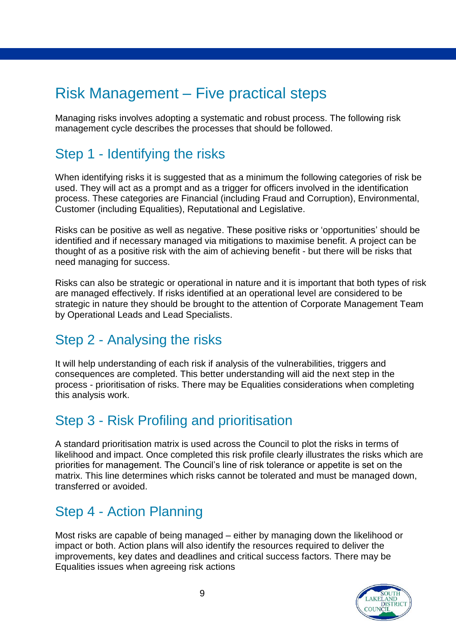## <span id="page-8-0"></span>Risk Management – Five practical steps

Managing risks involves adopting a systematic and robust process. The following risk management cycle describes the processes that should be followed.

#### <span id="page-8-1"></span>Step 1 - Identifying the risks

When identifying risks it is suggested that as a minimum the following categories of risk be used. They will act as a prompt and as a trigger for officers involved in the identification process. These categories are Financial (including Fraud and Corruption), Environmental, Customer (including Equalities), Reputational and Legislative.

Risks can be positive as well as negative. These positive risks or 'opportunities' should be identified and if necessary managed via mitigations to maximise benefit. A project can be thought of as a positive risk with the aim of achieving benefit - but there will be risks that need managing for success.

Risks can also be strategic or operational in nature and it is important that both types of risk are managed effectively. If risks identified at an operational level are considered to be strategic in nature they should be brought to the attention of Corporate Management Team by Operational Leads and Lead Specialists.

### <span id="page-8-2"></span>Step 2 - Analysing the risks

It will help understanding of each risk if analysis of the vulnerabilities, triggers and consequences are completed. This better understanding will aid the next step in the process - prioritisation of risks. There may be Equalities considerations when completing this analysis work.

### <span id="page-8-3"></span>Step 3 - Risk Profiling and prioritisation

A standard prioritisation matrix is used across the Council to plot the risks in terms of likelihood and impact. Once completed this risk profile clearly illustrates the risks which are priorities for management. The Council's line of risk tolerance or appetite is set on the matrix. This line determines which risks cannot be tolerated and must be managed down, transferred or avoided.

#### <span id="page-8-4"></span>Step 4 - Action Planning

Most risks are capable of being managed – either by managing down the likelihood or impact or both. Action plans will also identify the resources required to deliver the improvements, key dates and deadlines and critical success factors. There may be Equalities issues when agreeing risk actions